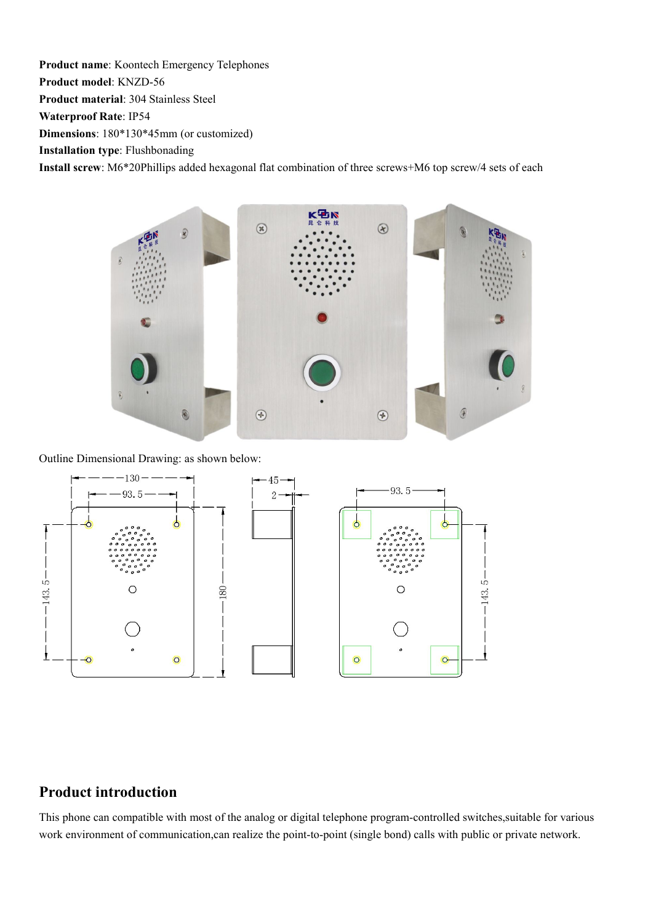**Product name**: Koontech Emergency Telephones **Product model**: KNZD-56 **Product material**: 304 Stainless Steel

**Waterproof Rate**: IP54

**Dimensions**: 180\*130\*45mm (or customized)

**Installation type**: Flushbonading

**Install screw**: M6\*20Phillips added hexagonal flat combination of three screws+M6 top screw/4 sets ofeach



Outline Dimensional Drawing: as shown below:



#### **Product introduction**

This phone can compatible with most of the analog or digital telephone program-controlled switches,suitable for various work environment of communication,can realize the point-to-point (single bond) calls with public or private network.